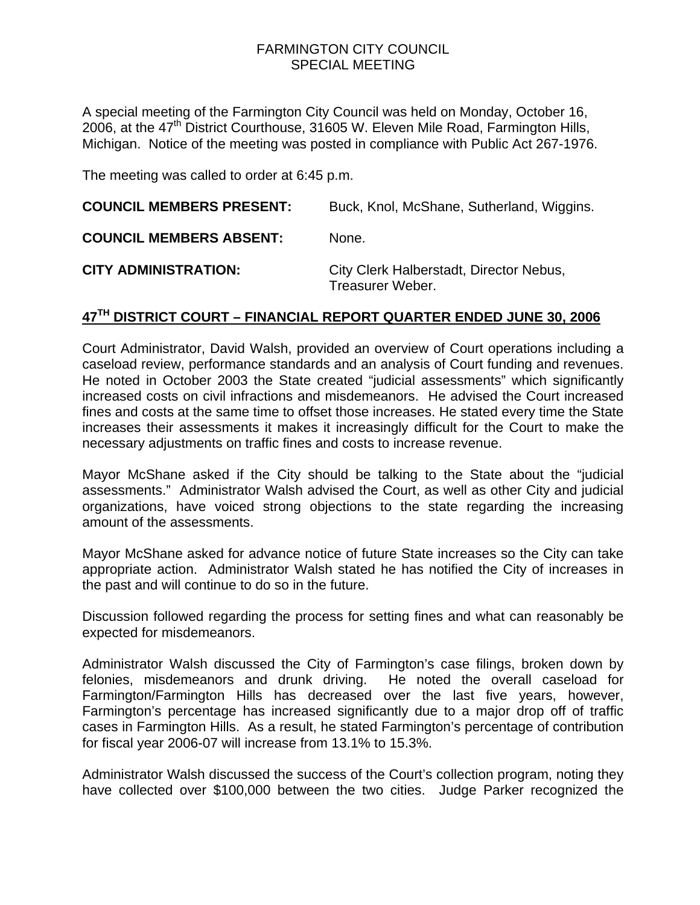## FARMINGTON CITY COUNCIL SPECIAL MEETING

A special meeting of the Farmington City Council was held on Monday, October 16, 2006, at the 47<sup>th</sup> District Courthouse, 31605 W. Eleven Mile Road, Farmington Hills, Michigan. Notice of the meeting was posted in compliance with Public Act 267-1976.

The meeting was called to order at 6:45 p.m.

| <b>COUNCIL MEMBERS PRESENT:</b> | Buck, Knol, McShane, Sutherland, Wiggins.                   |
|---------------------------------|-------------------------------------------------------------|
| <b>COUNCIL MEMBERS ABSENT:</b>  | None.                                                       |
| <b>CITY ADMINISTRATION:</b>     | City Clerk Halberstadt, Director Nebus,<br>Treasurer Weber. |

## **47TH DISTRICT COURT – FINANCIAL REPORT QUARTER ENDED JUNE 30, 2006**

Court Administrator, David Walsh, provided an overview of Court operations including a caseload review, performance standards and an analysis of Court funding and revenues. He noted in October 2003 the State created "judicial assessments" which significantly increased costs on civil infractions and misdemeanors. He advised the Court increased fines and costs at the same time to offset those increases. He stated every time the State increases their assessments it makes it increasingly difficult for the Court to make the necessary adjustments on traffic fines and costs to increase revenue.

Mayor McShane asked if the City should be talking to the State about the "judicial assessments." Administrator Walsh advised the Court, as well as other City and judicial organizations, have voiced strong objections to the state regarding the increasing amount of the assessments.

Mayor McShane asked for advance notice of future State increases so the City can take appropriate action. Administrator Walsh stated he has notified the City of increases in the past and will continue to do so in the future.

Discussion followed regarding the process for setting fines and what can reasonably be expected for misdemeanors.

Administrator Walsh discussed the City of Farmington's case filings, broken down by felonies, misdemeanors and drunk driving. He noted the overall caseload for Farmington/Farmington Hills has decreased over the last five years, however, Farmington's percentage has increased significantly due to a major drop off of traffic cases in Farmington Hills. As a result, he stated Farmington's percentage of contribution for fiscal year 2006-07 will increase from 13.1% to 15.3%.

Administrator Walsh discussed the success of the Court's collection program, noting they have collected over \$100,000 between the two cities. Judge Parker recognized the